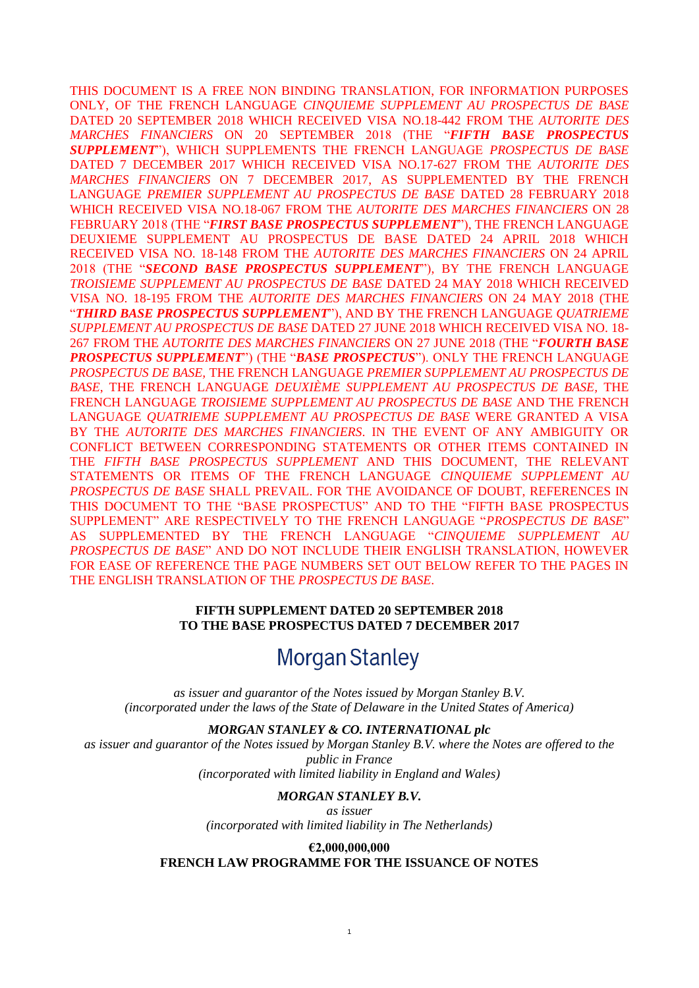THIS DOCUMENT IS A FREE NON BINDING TRANSLATION, FOR INFORMATION PURPOSES ONLY, OF THE FRENCH LANGUAGE *CINQUIEME SUPPLEMENT AU PROSPECTUS DE BASE* DATED 20 SEPTEMBER 2018 WHICH RECEIVED VISA NO.18-442 FROM THE *AUTORITE DES MARCHES FINANCIERS* ON 20 SEPTEMBER 2018 (THE "*FIFTH BASE PROSPECTUS SUPPLEMENT*"), WHICH SUPPLEMENTS THE FRENCH LANGUAGE *PROSPECTUS DE BASE* DATED 7 DECEMBER 2017 WHICH RECEIVED VISA NO.17-627 FROM THE *AUTORITE DES MARCHES FINANCIERS* ON 7 DECEMBER 2017, AS SUPPLEMENTED BY THE FRENCH LANGUAGE *PREMIER SUPPLEMENT AU PROSPECTUS DE BASE* DATED 28 FEBRUARY 2018 WHICH RECEIVED VISA NO.18-067 FROM THE *AUTORITE DES MARCHES FINANCIERS* ON 28 FEBRUARY 2018 (THE "*FIRST BASE PROSPECTUS SUPPLEMENT*"), THE FRENCH LANGUAGE DEUXIEME SUPPLEMENT AU PROSPECTUS DE BASE DATED 24 APRIL 2018 WHICH RECEIVED VISA NO. 18-148 FROM THE *AUTORITE DES MARCHES FINANCIERS* ON 24 APRIL 2018 (THE "*SECOND BASE PROSPECTUS SUPPLEMENT*"), BY THE FRENCH LANGUAGE *TROISIEME SUPPLEMENT AU PROSPECTUS DE BASE* DATED 24 MAY 2018 WHICH RECEIVED VISA NO. 18-195 FROM THE *AUTORITE DES MARCHES FINANCIERS* ON 24 MAY 2018 (THE "*THIRD BASE PROSPECTUS SUPPLEMENT*"), AND BY THE FRENCH LANGUAGE *QUATRIEME SUPPLEMENT AU PROSPECTUS DE BASE* DATED 27 JUNE 2018 WHICH RECEIVED VISA NO. 18- 267 FROM THE *AUTORITE DES MARCHES FINANCIERS* ON 27 JUNE 2018 (THE "*FOURTH BASE PROSPECTUS SUPPLEMENT*") (THE "*BASE PROSPECTUS*"). ONLY THE FRENCH LANGUAGE *PROSPECTUS DE BASE,* THE FRENCH LANGUAGE *PREMIER SUPPLEMENT AU PROSPECTUS DE BASE*, THE FRENCH LANGUAGE *DEUXIÈME SUPPLEMENT AU PROSPECTUS DE BASE,* THE FRENCH LANGUAGE *TROISIEME SUPPLEMENT AU PROSPECTUS DE BASE* AND THE FRENCH LANGUAGE *QUATRIEME SUPPLEMENT AU PROSPECTUS DE BASE* WERE GRANTED A VISA BY THE *AUTORITE DES MARCHES FINANCIERS*. IN THE EVENT OF ANY AMBIGUITY OR CONFLICT BETWEEN CORRESPONDING STATEMENTS OR OTHER ITEMS CONTAINED IN THE *FIFTH BASE PROSPECTUS SUPPLEMENT* AND THIS DOCUMENT, THE RELEVANT STATEMENTS OR ITEMS OF THE FRENCH LANGUAGE *CINQUIEME SUPPLEMENT AU PROSPECTUS DE BASE* SHALL PREVAIL. FOR THE AVOIDANCE OF DOUBT, REFERENCES IN THIS DOCUMENT TO THE "BASE PROSPECTUS" AND TO THE "FIFTH BASE PROSPECTUS SUPPLEMENT" ARE RESPECTIVELY TO THE FRENCH LANGUAGE "*PROSPECTUS DE BASE*" AS SUPPLEMENTED BY THE FRENCH LANGUAGE "*CINQUIEME SUPPLEMENT AU PROSPECTUS DE BASE*" AND DO NOT INCLUDE THEIR ENGLISH TRANSLATION, HOWEVER FOR EASE OF REFERENCE THE PAGE NUMBERS SET OUT BELOW REFER TO THE PAGES IN THE ENGLISH TRANSLATION OF THE *PROSPECTUS DE BASE*.

#### **FIFTH SUPPLEMENT DATED 20 SEPTEMBER 2018 TO THE BASE PROSPECTUS DATED 7 DECEMBER 2017**

# **Morgan Stanley**

*as issuer and guarantor of the Notes issued by Morgan Stanley B.V. (incorporated under the laws of the State of Delaware in the United States of America)*

*MORGAN STANLEY & CO. INTERNATIONAL plc*

*as issuer and guarantor of the Notes issued by Morgan Stanley B.V. where the Notes are offered to the public in France (incorporated with limited liability in England and Wales)*

#### *MORGAN STANLEY B.V.*

*as issuer (incorporated with limited liability in The Netherlands)*

**€2,000,000,000 FRENCH LAW PROGRAMME FOR THE ISSUANCE OF NOTES**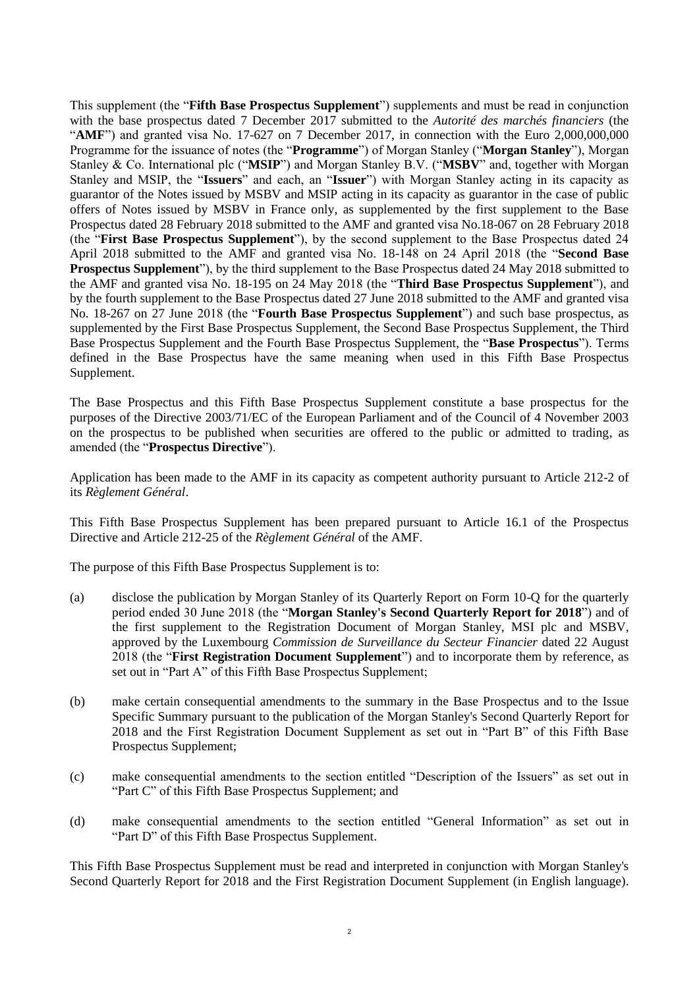This supplement (the "**Fifth Base Prospectus Supplement**") supplements and must be read in conjunction with the base prospectus dated 7 December 2017 submitted to the *Autorité des marchés financiers* (the "**AMF**") and granted visa No. 17-627 on 7 December 2017, in connection with the Euro 2,000,000,000 Programme for the issuance of notes (the "**Programme**") of Morgan Stanley ("**Morgan Stanley**"), Morgan Stanley & Co. International plc ("**MSIP**") and Morgan Stanley B.V. ("**MSBV**" and, together with Morgan Stanley and MSIP, the "**Issuers**" and each, an "**Issuer**") with Morgan Stanley acting in its capacity as guarantor of the Notes issued by MSBV and MSIP acting in its capacity as guarantor in the case of public offers of Notes issued by MSBV in France only, as supplemented by the first supplement to the Base Prospectus dated 28 February 2018 submitted to the AMF and granted visa No.18-067 on 28 February 2018 (the "**First Base Prospectus Supplement**"), by the second supplement to the Base Prospectus dated 24 April 2018 submitted to the AMF and granted visa No. 18-148 on 24 April 2018 (the "**Second Base Prospectus Supplement**"), by the third supplement to the Base Prospectus dated 24 May 2018 submitted to the AMF and granted visa No. 18-195 on 24 May 2018 (the "**Third Base Prospectus Supplement**"), and by the fourth supplement to the Base Prospectus dated 27 June 2018 submitted to the AMF and granted visa No. 18-267 on 27 June 2018 (the "**Fourth Base Prospectus Supplement**") and such base prospectus, as supplemented by the First Base Prospectus Supplement, the Second Base Prospectus Supplement, the Third Base Prospectus Supplement and the Fourth Base Prospectus Supplement, the "**Base Prospectus**"). Terms defined in the Base Prospectus have the same meaning when used in this Fifth Base Prospectus Supplement.

The Base Prospectus and this Fifth Base Prospectus Supplement constitute a base prospectus for the purposes of the Directive 2003/71/EC of the European Parliament and of the Council of 4 November 2003 on the prospectus to be published when securities are offered to the public or admitted to trading, as amended (the "**Prospectus Directive**").

Application has been made to the AMF in its capacity as competent authority pursuant to Article 212-2 of its *Règlement Général*.

This Fifth Base Prospectus Supplement has been prepared pursuant to Article 16.1 of the Prospectus Directive and Article 212-25 of the *Règlement Général* of the AMF.

The purpose of this Fifth Base Prospectus Supplement is to:

- (a) disclose the publication by Morgan Stanley of its Quarterly Report on Form 10-Q for the quarterly period ended 30 June 2018 (the "**Morgan Stanley's Second Quarterly Report for 2018**") and of the first supplement to the Registration Document of Morgan Stanley, MSI plc and MSBV, approved by the Luxembourg *Commission de Surveillance du Secteur Financier* dated 22 August 2018 (the "**First Registration Document Supplement**") and to incorporate them by reference, as set out in "Part A" of this Fifth Base Prospectus Supplement;
- (b) make certain consequential amendments to the summary in the Base Prospectus and to the Issue Specific Summary pursuant to the publication of the Morgan Stanley's Second Quarterly Report for 2018 and the First Registration Document Supplement as set out in "Part B" of this Fifth Base Prospectus Supplement;
- (c) make consequential amendments to the section entitled "Description of the Issuers" as set out in "Part C" of this Fifth Base Prospectus Supplement; and
- (d) make consequential amendments to the section entitled "General Information" as set out in "Part D" of this Fifth Base Prospectus Supplement.

This Fifth Base Prospectus Supplement must be read and interpreted in conjunction with Morgan Stanley's Second Quarterly Report for 2018 and the First Registration Document Supplement (in English language).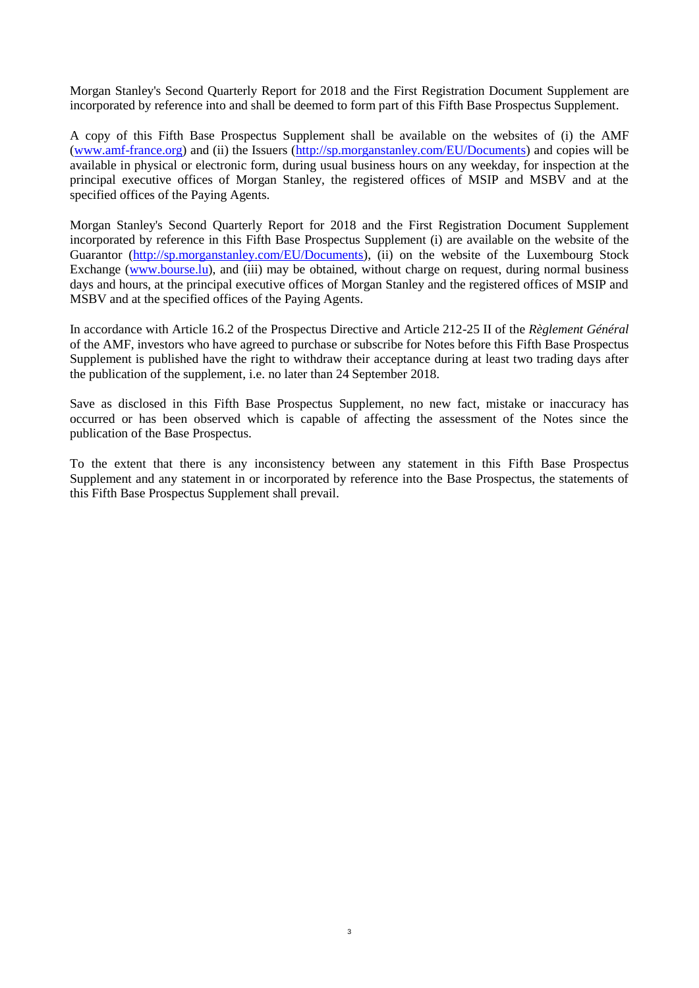Morgan Stanley's Second Quarterly Report for 2018 and the First Registration Document Supplement are incorporated by reference into and shall be deemed to form part of this Fifth Base Prospectus Supplement.

A copy of this Fifth Base Prospectus Supplement shall be available on the websites of (i) the AMF [\(www.amf-france.org\)](http://www.amf-france.org/) and (ii) the Issuers [\(http://sp.morganstanley.com/EU/Documents\)](http://sp.morganstanley.com/EU/Documents) and copies will be available in physical or electronic form, during usual business hours on any weekday, for inspection at the principal executive offices of Morgan Stanley, the registered offices of MSIP and MSBV and at the specified offices of the Paying Agents.

Morgan Stanley's Second Quarterly Report for 2018 and the First Registration Document Supplement incorporated by reference in this Fifth Base Prospectus Supplement (i) are available on the website of the Guarantor [\(http://sp.morganstanley.com/EU/Documents\)](http://sp.morganstanley.com/EU/Documents), (ii) on the website of the Luxembourg Stock Exchange [\(www.bourse.lu\)](http://www.bourse.lu/), and (iii) may be obtained, without charge on request, during normal business days and hours, at the principal executive offices of Morgan Stanley and the registered offices of MSIP and MSBV and at the specified offices of the Paying Agents.

In accordance with Article 16.2 of the Prospectus Directive and Article 212-25 II of the *Règlement Général* of the AMF, investors who have agreed to purchase or subscribe for Notes before this Fifth Base Prospectus Supplement is published have the right to withdraw their acceptance during at least two trading days after the publication of the supplement, i.e. no later than 24 September 2018.

Save as disclosed in this Fifth Base Prospectus Supplement, no new fact, mistake or inaccuracy has occurred or has been observed which is capable of affecting the assessment of the Notes since the publication of the Base Prospectus.

To the extent that there is any inconsistency between any statement in this Fifth Base Prospectus Supplement and any statement in or incorporated by reference into the Base Prospectus, the statements of this Fifth Base Prospectus Supplement shall prevail.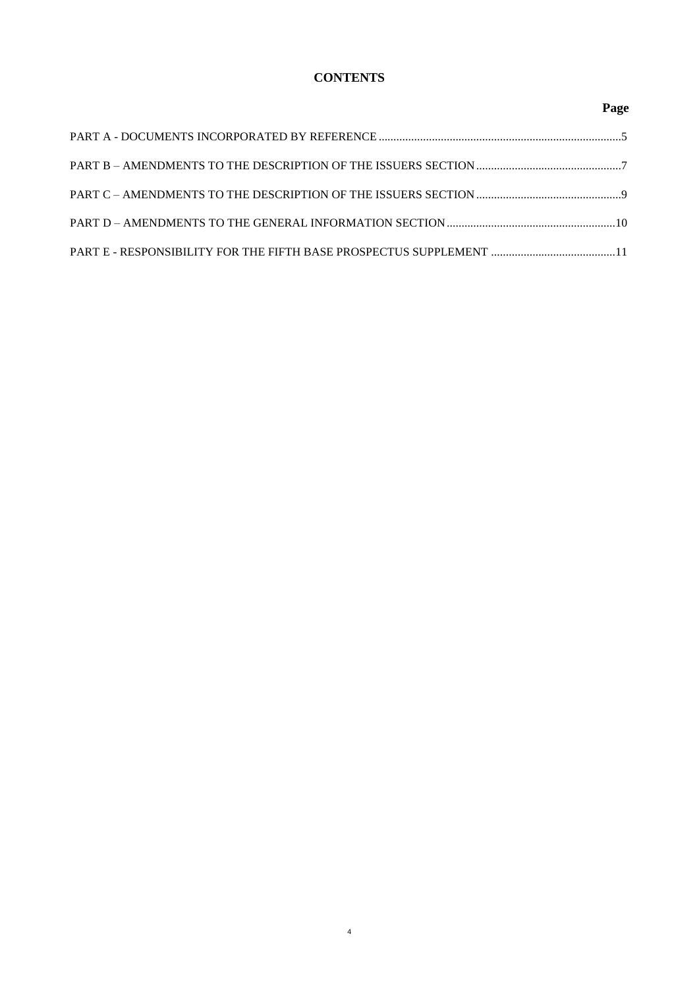# **CONTENTS**

# **Page**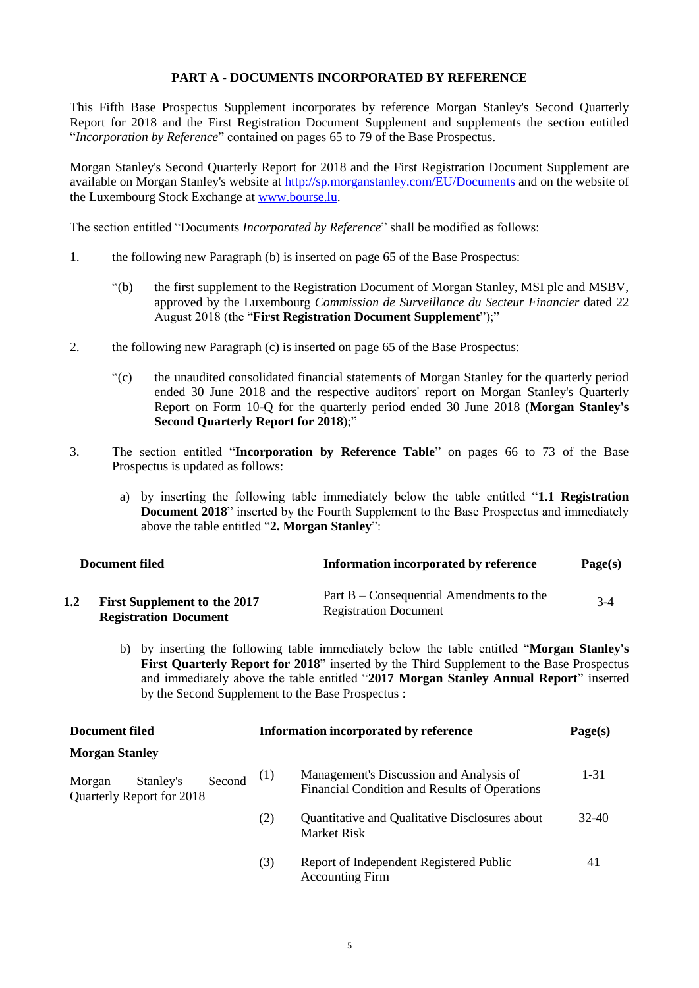### **PART A - DOCUMENTS INCORPORATED BY REFERENCE**

<span id="page-4-0"></span>This Fifth Base Prospectus Supplement incorporates by reference Morgan Stanley's Second Quarterly Report for 2018 and the First Registration Document Supplement and supplements the section entitled "*Incorporation by Reference*" contained on pages 65 to 79 of the Base Prospectus.

Morgan Stanley's Second Quarterly Report for 2018 and the First Registration Document Supplement are available on Morgan Stanley's website at<http://sp.morganstanley.com/EU/Documents> and on the website of the Luxembourg Stock Exchange at [www.bourse.lu.](http://www.bourse.lu/)

The section entitled "Documents *Incorporated by Reference*" shall be modified as follows:

- 1. the following new Paragraph (b) is inserted on page 65 of the Base Prospectus:
	- "(b) the first supplement to the Registration Document of Morgan Stanley, MSI plc and MSBV, approved by the Luxembourg *Commission de Surveillance du Secteur Financier* dated 22 August 2018 (the "**First Registration Document Supplement**");"
- 2. the following new Paragraph (c) is inserted on page 65 of the Base Prospectus:
	- "(c) the unaudited consolidated financial statements of Morgan Stanley for the quarterly period ended 30 June 2018 and the respective auditors' report on Morgan Stanley's Quarterly Report on Form 10-Q for the quarterly period ended 30 June 2018 (**Morgan Stanley's Second Quarterly Report for 2018**);"
- 3. The section entitled "**Incorporation by Reference Table**" on pages 66 to 73 of the Base Prospectus is updated as follows:
	- a) by inserting the following table immediately below the table entitled "**1.1 Registration Document 2018**" inserted by the Fourth Supplement to the Base Prospectus and immediately above the table entitled "**2. Morgan Stanley**":

| Document filed |                                                                     | Information incorporated by reference                                      | Page(s) |  |
|----------------|---------------------------------------------------------------------|----------------------------------------------------------------------------|---------|--|
| 1.2            | <b>First Supplement to the 2017</b><br><b>Registration Document</b> | Part $B -$ Consequential Amendments to the<br><b>Registration Document</b> | $3-4$   |  |

b) by inserting the following table immediately below the table entitled "**Morgan Stanley's First Quarterly Report for 2018**" inserted by the Third Supplement to the Base Prospectus and immediately above the table entitled "**2017 Morgan Stanley Annual Report**" inserted by the Second Supplement to the Base Prospectus :

| <b>Document filed</b>                                      | Information incorporated by reference | Page(s)                                                                                  |          |
|------------------------------------------------------------|---------------------------------------|------------------------------------------------------------------------------------------|----------|
| <b>Morgan Stanley</b>                                      |                                       |                                                                                          |          |
| Second<br>Stanley's<br>Morgan<br>Quarterly Report for 2018 | (1)                                   | Management's Discussion and Analysis of<br>Financial Condition and Results of Operations | $1 - 31$ |
|                                                            | (2)                                   | Quantitative and Qualitative Disclosures about<br>Market Risk                            | 32-40    |
|                                                            | (3)                                   | Report of Independent Registered Public<br><b>Accounting Firm</b>                        | 41       |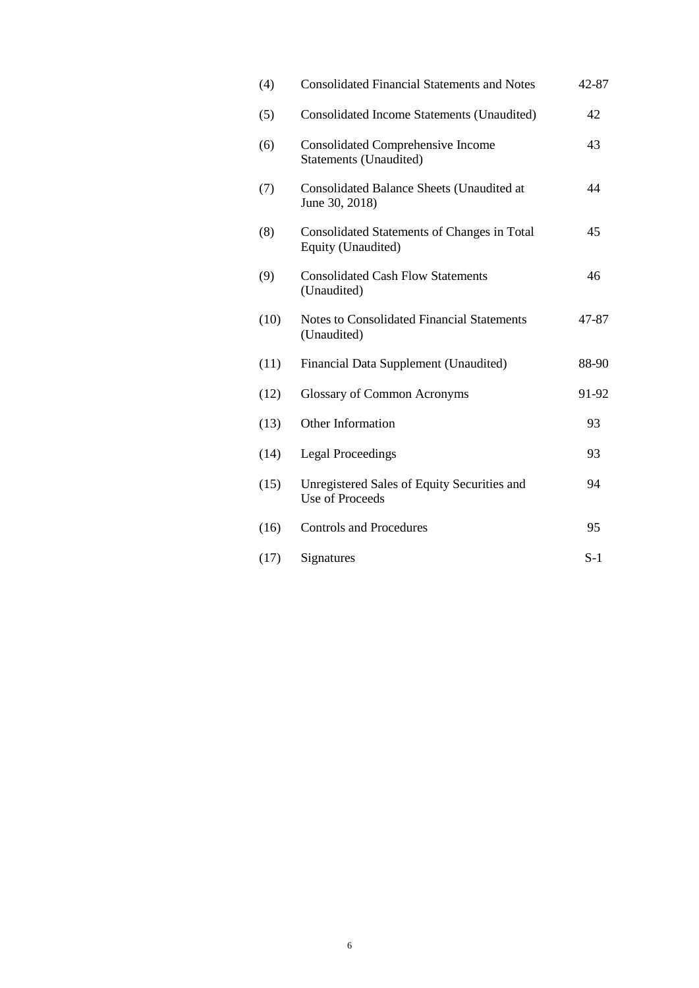| (4)  | <b>Consolidated Financial Statements and Notes</b>                    | 42-87 |
|------|-----------------------------------------------------------------------|-------|
| (5)  | Consolidated Income Statements (Unaudited)                            | 42    |
| (6)  | <b>Consolidated Comprehensive Income</b><br>Statements (Unaudited)    | 43    |
| (7)  | Consolidated Balance Sheets (Unaudited at<br>June 30, 2018)           | 44    |
| (8)  | Consolidated Statements of Changes in Total<br>Equity (Unaudited)     | 45    |
| (9)  | <b>Consolidated Cash Flow Statements</b><br>(Unaudited)               | 46    |
| (10) | <b>Notes to Consolidated Financial Statements</b><br>(Unaudited)      | 47-87 |
| (11) | Financial Data Supplement (Unaudited)                                 | 88-90 |
| (12) | <b>Glossary of Common Acronyms</b>                                    | 91-92 |
| (13) | Other Information                                                     | 93    |
| (14) | <b>Legal Proceedings</b>                                              | 93    |
| (15) | Unregistered Sales of Equity Securities and<br><b>Use of Proceeds</b> | 94    |
| (16) | <b>Controls and Procedures</b>                                        | 95    |
| (17) | Signatures                                                            | $S-1$ |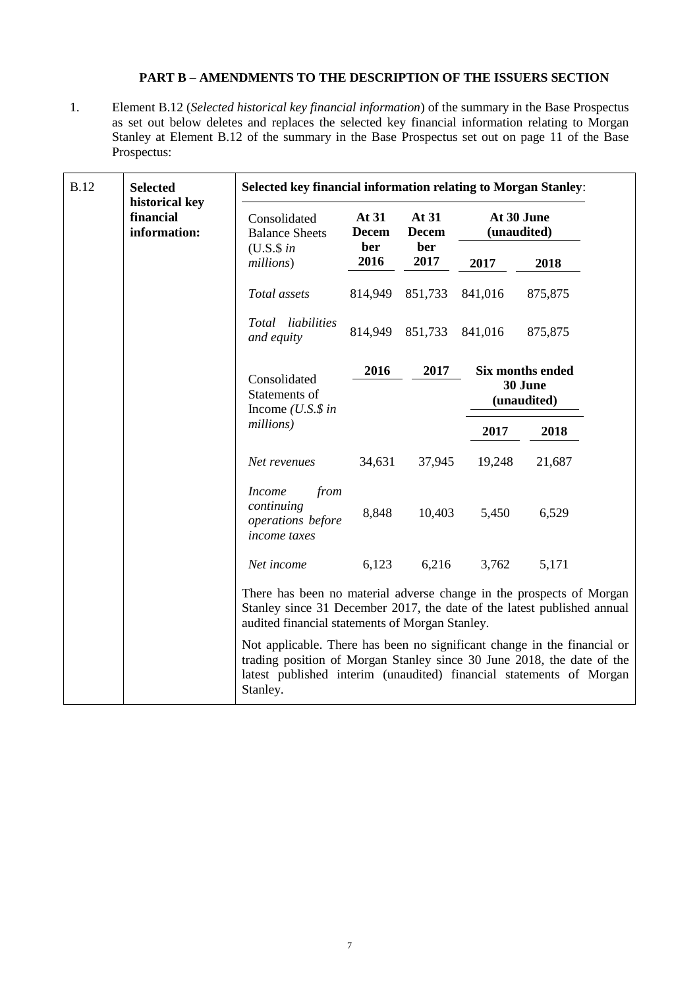## **PART B – AMENDMENTS TO THE DESCRIPTION OF THE ISSUERS SECTION**

<span id="page-6-0"></span>1. Element B.12 (*Selected historical key financial information*) of the summary in the Base Prospectus as set out below deletes and replaces the selected key financial information relating to Morgan Stanley at Element B.12 of the summary in the Base Prospectus set out on page 11 of the Base Prospectus:

| <b>B.12</b><br><b>Selected</b><br>historical key<br>financial<br>information: |                             | <b>Selected key financial information relating to Morgan Stanley:</b>                                                                                                                                                                                                                                                                                                                                                                       |                         |                       |                           |                                                   |  |
|-------------------------------------------------------------------------------|-----------------------------|---------------------------------------------------------------------------------------------------------------------------------------------------------------------------------------------------------------------------------------------------------------------------------------------------------------------------------------------------------------------------------------------------------------------------------------------|-------------------------|-----------------------|---------------------------|---------------------------------------------------|--|
|                                                                               |                             | Consolidated<br><b>Balance Sheets</b>                                                                                                                                                                                                                                                                                                                                                                                                       | At $31$<br><b>Decem</b> | At 31<br><b>Decem</b> | At 30 June<br>(unaudited) |                                                   |  |
|                                                                               | $(U.S.\$ \$ in<br>millions) | ber<br>2016                                                                                                                                                                                                                                                                                                                                                                                                                                 | ber<br>2017             | 2017                  | 2018                      |                                                   |  |
|                                                                               |                             | Total assets                                                                                                                                                                                                                                                                                                                                                                                                                                | 814,949                 | 851,733               | 841,016                   | 875,875                                           |  |
|                                                                               |                             | Total liabilities<br>and equity                                                                                                                                                                                                                                                                                                                                                                                                             | 814,949                 | 851,733               | 841,016                   | 875,875                                           |  |
|                                                                               |                             | Consolidated<br>Statements of<br>Income $( U.S.\$ \$ in<br>millions)                                                                                                                                                                                                                                                                                                                                                                        | 2016                    | 2017                  |                           | <b>Six months ended</b><br>30 June<br>(unaudited) |  |
|                                                                               |                             |                                                                                                                                                                                                                                                                                                                                                                                                                                             |                         |                       | 2017                      | 2018                                              |  |
|                                                                               |                             | Net revenues                                                                                                                                                                                                                                                                                                                                                                                                                                | 34,631                  | 37,945                | 19,248                    | 21,687                                            |  |
|                                                                               |                             | from<br><i>Income</i><br>continuing<br>operations before<br>income taxes                                                                                                                                                                                                                                                                                                                                                                    | 8,848                   | 10,403                | 5,450                     | 6,529                                             |  |
|                                                                               |                             | Net income                                                                                                                                                                                                                                                                                                                                                                                                                                  | 6,123                   | 6,216                 | 3,762                     | 5,171                                             |  |
|                                                                               |                             | There has been no material adverse change in the prospects of Morgan<br>Stanley since 31 December 2017, the date of the latest published annual<br>audited financial statements of Morgan Stanley.<br>Not applicable. There has been no significant change in the financial or<br>trading position of Morgan Stanley since 30 June 2018, the date of the<br>latest published interim (unaudited) financial statements of Morgan<br>Stanley. |                         |                       |                           |                                                   |  |
|                                                                               |                             |                                                                                                                                                                                                                                                                                                                                                                                                                                             |                         |                       |                           |                                                   |  |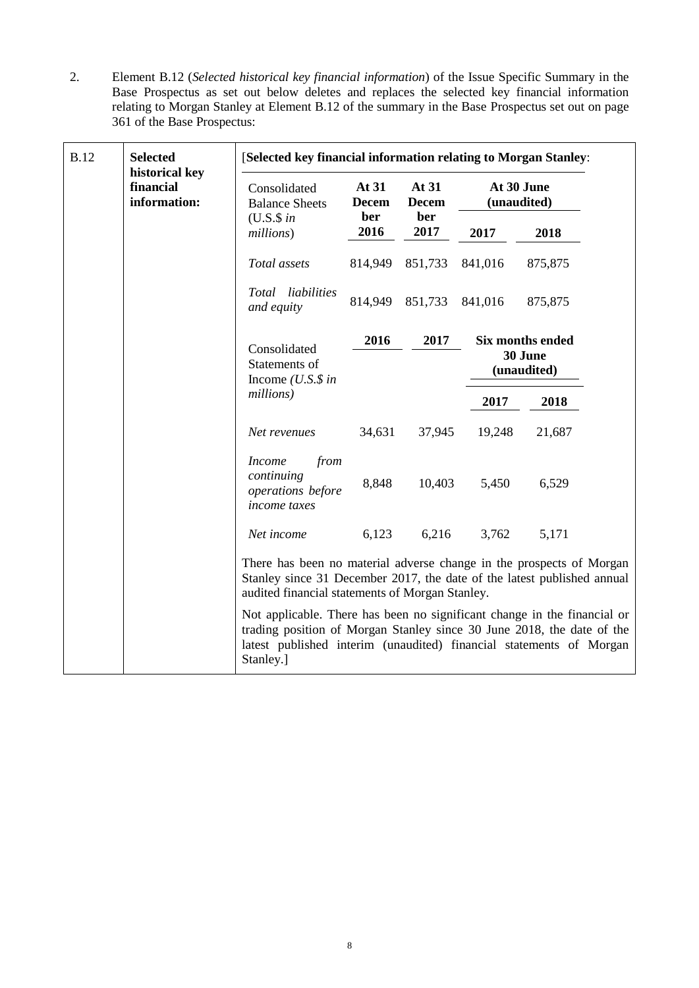2. Element B.12 (*Selected historical key financial information*) of the Issue Specific Summary in the Base Prospectus as set out below deletes and replaces the selected key financial information relating to Morgan Stanley at Element B.12 of the summary in the Base Prospectus set out on page 361 of the Base Prospectus:

| <b>B.12</b> | <b>Selected</b><br>historical key<br>financial<br>information: | [Selected key financial information relating to Morgan Stanley:                                                                                                                                                                        |                                        |                                      |         |                                                   |  |
|-------------|----------------------------------------------------------------|----------------------------------------------------------------------------------------------------------------------------------------------------------------------------------------------------------------------------------------|----------------------------------------|--------------------------------------|---------|---------------------------------------------------|--|
|             |                                                                | Consolidated<br><b>Balance Sheets</b>                                                                                                                                                                                                  | At $31$<br><b>Decem</b><br>ber<br>2016 | At 31<br><b>Decem</b><br>ber<br>2017 |         | At 30 June<br>(unaudited)                         |  |
|             |                                                                | $(U.S.\$ \$ in<br>millions)                                                                                                                                                                                                            |                                        |                                      | 2017    | 2018                                              |  |
|             |                                                                | Total assets                                                                                                                                                                                                                           | 814,949                                | 851,733                              | 841,016 | 875,875                                           |  |
|             |                                                                | Total liabilities<br>and equity                                                                                                                                                                                                        | 814,949                                | 851,733                              | 841,016 | 875,875                                           |  |
|             |                                                                | Consolidated<br>Statements of<br>Income $(U.S.\$ \$ in<br>millions)                                                                                                                                                                    | 2016<br>2017                           |                                      |         | <b>Six months ended</b><br>30 June<br>(unaudited) |  |
|             |                                                                |                                                                                                                                                                                                                                        |                                        |                                      | 2017    | 2018                                              |  |
|             |                                                                | Net revenues                                                                                                                                                                                                                           | 34,631                                 | 37,945                               | 19,248  | 21,687                                            |  |
|             |                                                                | from<br><b>Income</b><br>continuing<br>operations before<br><i>income</i> taxes                                                                                                                                                        | 8,848                                  | 10,403                               | 5,450   | 6,529                                             |  |
|             |                                                                | Net income                                                                                                                                                                                                                             | 6,123                                  | 6,216                                | 3,762   | 5,171                                             |  |
|             |                                                                | There has been no material adverse change in the prospects of Morgan<br>Stanley since 31 December 2017, the date of the latest published annual<br>audited financial statements of Morgan Stanley.                                     |                                        |                                      |         |                                                   |  |
|             |                                                                | Not applicable. There has been no significant change in the financial or<br>trading position of Morgan Stanley since 30 June 2018, the date of the<br>latest published interim (unaudited) financial statements of Morgan<br>Stanley.] |                                        |                                      |         |                                                   |  |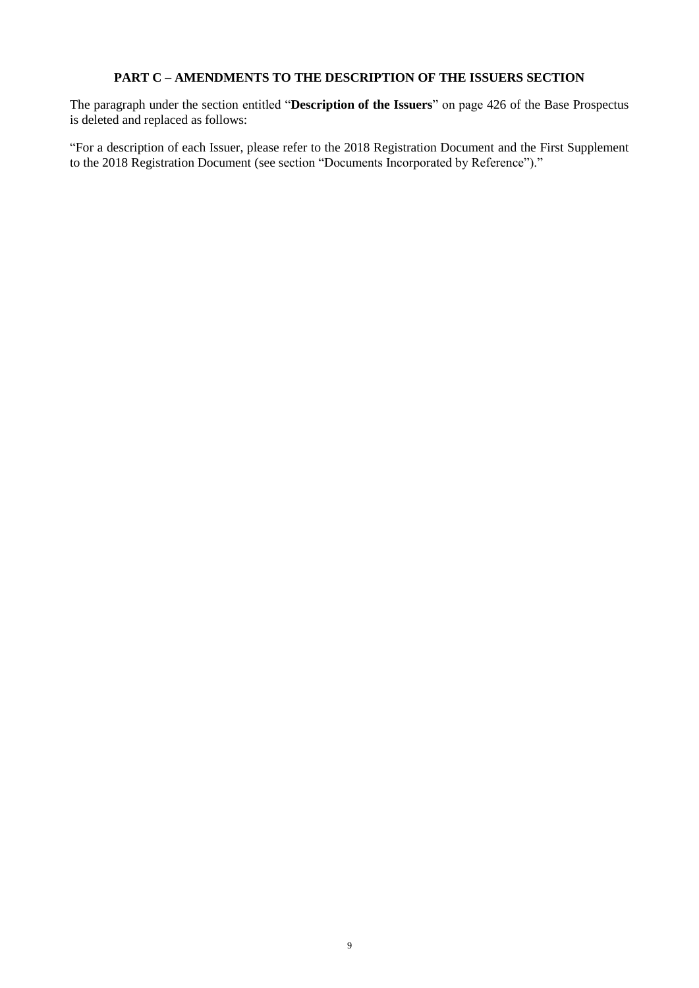# **PART C – AMENDMENTS TO THE DESCRIPTION OF THE ISSUERS SECTION**

<span id="page-8-0"></span>The paragraph under the section entitled "**Description of the Issuers**" on page 426 of the Base Prospectus is deleted and replaced as follows:

"For a description of each Issuer, please refer to the 2018 Registration Document and the First Supplement to the 2018 Registration Document (see section "Documents Incorporated by Reference")."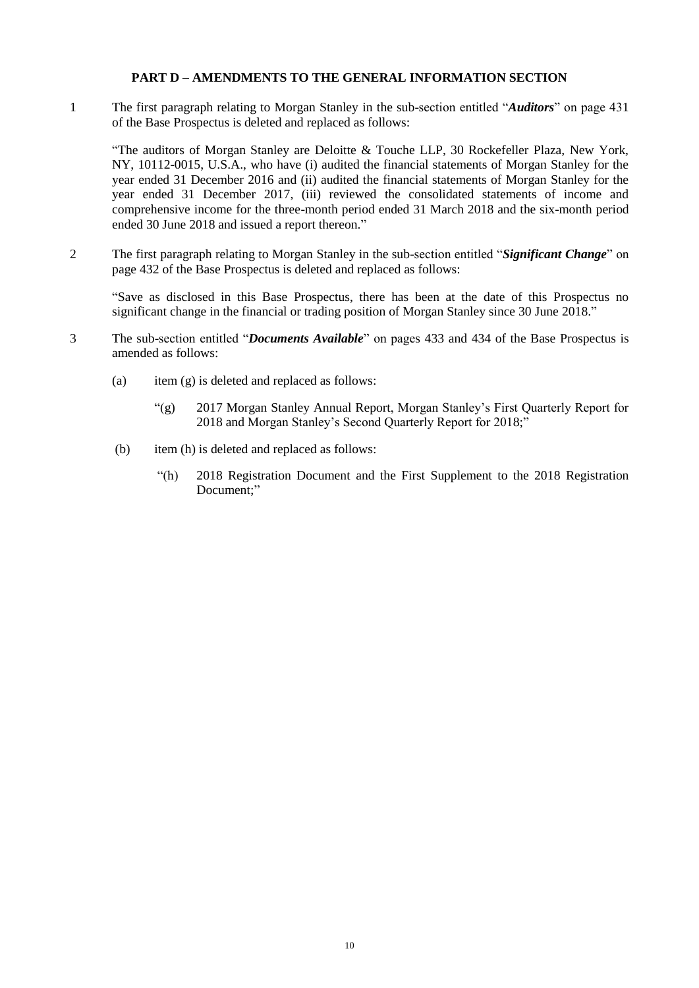### **PART D – AMENDMENTS TO THE GENERAL INFORMATION SECTION**

<span id="page-9-0"></span>1 The first paragraph relating to Morgan Stanley in the sub-section entitled "*Auditors*" on page 431 of the Base Prospectus is deleted and replaced as follows:

"The auditors of Morgan Stanley are Deloitte & Touche LLP, 30 Rockefeller Plaza, New York, NY, 10112-0015, U.S.A., who have (i) audited the financial statements of Morgan Stanley for the year ended 31 December 2016 and (ii) audited the financial statements of Morgan Stanley for the year ended 31 December 2017, (iii) reviewed the consolidated statements of income and comprehensive income for the three-month period ended 31 March 2018 and the six-month period ended 30 June 2018 and issued a report thereon."

2 The first paragraph relating to Morgan Stanley in the sub-section entitled "*Significant Change*" on page 432 of the Base Prospectus is deleted and replaced as follows:

"Save as disclosed in this Base Prospectus, there has been at the date of this Prospectus no significant change in the financial or trading position of Morgan Stanley since 30 June 2018."

- 3 The sub-section entitled "*Documents Available*" on pages 433 and 434 of the Base Prospectus is amended as follows:
	- (a) item  $(g)$  is deleted and replaced as follows:
		- "(g) 2017 Morgan Stanley Annual Report, Morgan Stanley's First Quarterly Report for 2018 and Morgan Stanley's Second Quarterly Report for 2018;"
	- (b) item (h) is deleted and replaced as follows:
		- "(h) 2018 Registration Document and the First Supplement to the 2018 Registration Document;"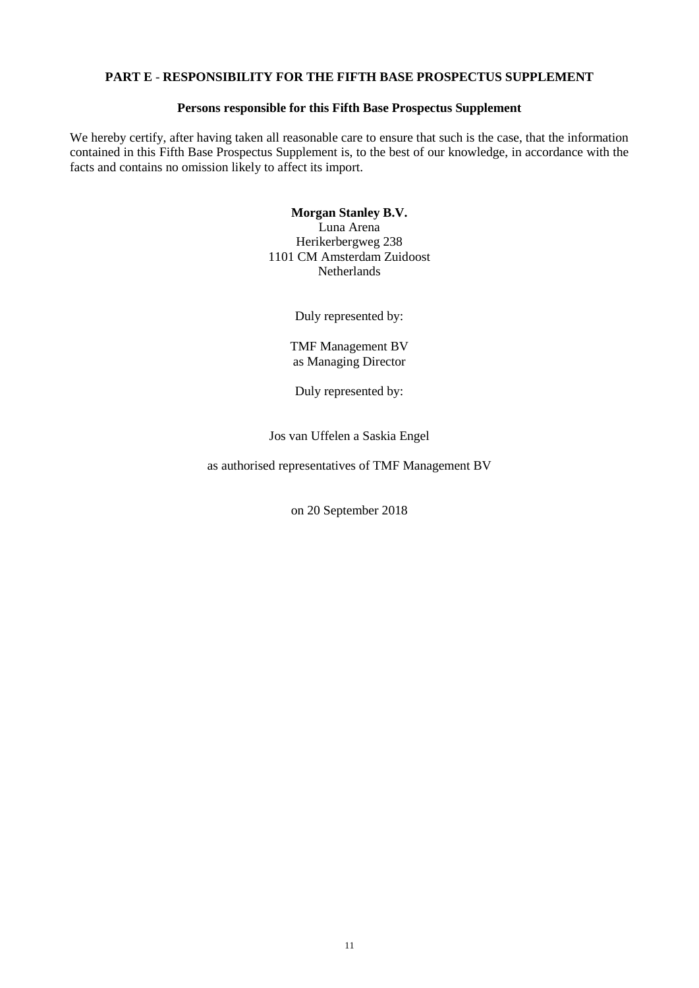## <span id="page-10-0"></span>**PART E** - **RESPONSIBILITY FOR THE FIFTH BASE PROSPECTUS SUPPLEMENT**

### **Persons responsible for this Fifth Base Prospectus Supplement**

We hereby certify, after having taken all reasonable care to ensure that such is the case, that the information contained in this Fifth Base Prospectus Supplement is, to the best of our knowledge, in accordance with the facts and contains no omission likely to affect its import.

## **Morgan Stanley B.V.** Luna Arena Herikerbergweg 238 1101 CM Amsterdam Zuidoost **Netherlands**

Duly represented by:

TMF Management BV as Managing Director

Duly represented by:

Jos van Uffelen a Saskia Engel

as authorised representatives of TMF Management BV

on 20 September 2018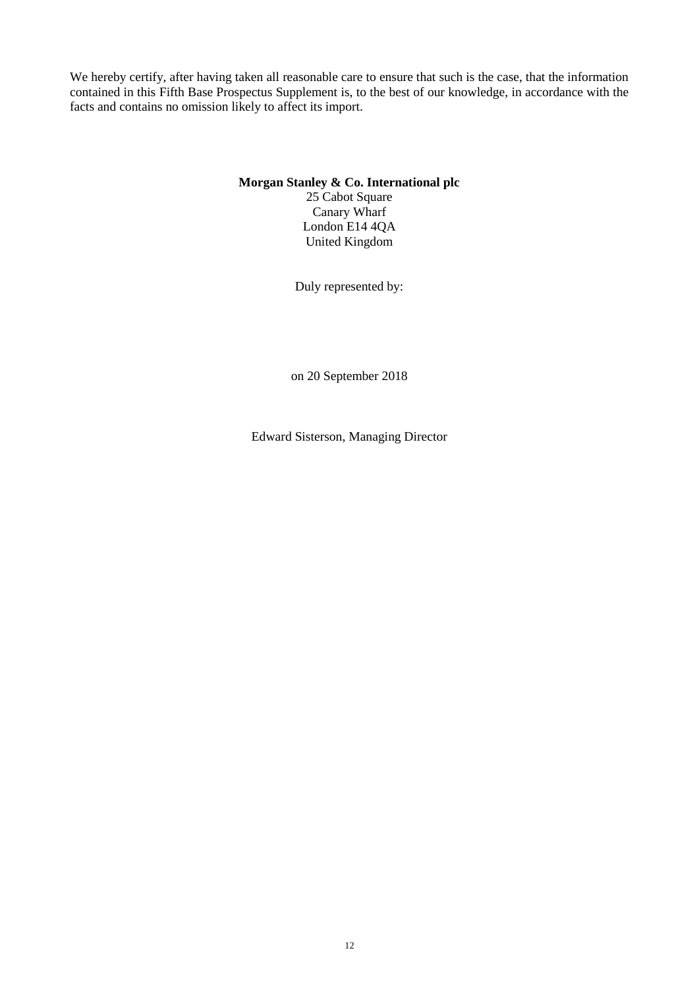We hereby certify, after having taken all reasonable care to ensure that such is the case, that the information contained in this Fifth Base Prospectus Supplement is, to the best of our knowledge, in accordance with the facts and contains no omission likely to affect its import.

## **Morgan Stanley & Co. International plc**

25 Cabot Square Canary Wharf London E14 4QA United Kingdom

Duly represented by:

on 20 September 2018

Edward Sisterson, Managing Director